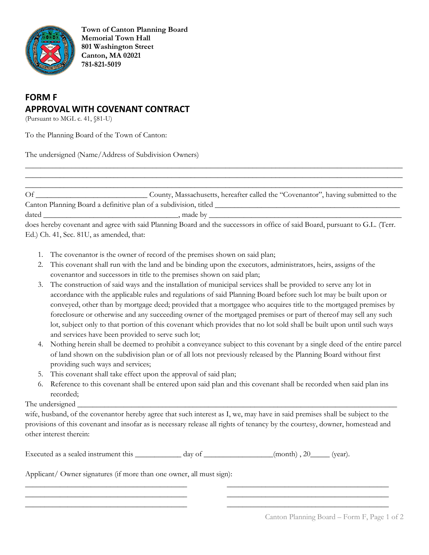

**Town of Canton Planning Board Memorial Town Hall 801 Washington Street Canton, MA 02021 781-821-5019**

## **FORM F APPROVAL WITH COVENANT CONTRACT**

(Pursuant to MGL c. 41, §81-U)

To the Planning Board of the Town of Canton:

The undersigned (Name/Address of Subdivision Owners)

Of \_\_\_\_\_\_\_\_\_\_\_\_\_\_\_\_\_\_\_\_\_\_\_\_\_\_\_\_\_ County, Massachusetts, hereafter called the "Covenantor", having submitted to the Canton Planning Board a definitive plan of a subdivision, titled \_\_\_\_\_\_\_\_\_\_\_\_\_\_\_\_\_\_\_\_\_\_\_\_\_\_\_\_\_\_\_\_\_\_\_\_\_\_\_\_\_\_\_\_\_\_\_\_

 $\_$  ,  $\_$  ,  $\_$  ,  $\_$  ,  $\_$  ,  $\_$  ,  $\_$  ,  $\_$  ,  $\_$  ,  $\_$  ,  $\_$  ,  $\_$  ,  $\_$  ,  $\_$  ,  $\_$  ,  $\_$  ,  $\_$  ,  $\_$  ,  $\_$  ,  $\_$  ,  $\_$  ,  $\_$  ,  $\_$  ,  $\_$  ,  $\_$  ,  $\_$  ,  $\_$  ,  $\_$  ,  $\_$  ,  $\_$  ,  $\_$  ,  $\_$  ,  $\_$  ,  $\_$  ,  $\_$  ,  $\_$  ,  $\_$  ,  $\_$  ,  $\_$  ,  $\_$  ,  $\_$  ,  $\_$  ,  $\_$  ,  $\_$  ,  $\_$  ,  $\_$  ,  $\_$  ,  $\_$  ,  $\_$  ,  $\_$  ,  $\_$  ,  $\_$  ,  $\_$  ,  $\_$  ,  $\_$  ,  $\_$  ,  $\_$  ,  $\_$  ,  $\_$  ,  $\_$  ,  $\_$  ,  $\_$  ,  $\_$  ,  $\_$  ,  $\_$  ,  $\_$  ,  $\_$  ,  $\_$  ,  $\_$  ,  $\_$  ,  $\_$  ,  $\_$  ,  $\_$  ,  $\_$  ,  $\_$  ,  $\_$  ,  $\_$  ,  $\_$  ,  $\_$  ,  $\_$  ,  $\_$  ,  $\_$  ,  $\_$  ,  $\_$  ,  $\_$  ,  $\_$  ,  $\_$  ,  $\_$  ,  $\_$  ,  $\_$  ,  $\_$  ,  $\_$  ,  $\_$  ,  $\_$  ,  $\_$  ,  $\_$  ,  $\_$  ,  $\_$  ,  $\_$  ,  $\_$  ,  $\_$  ,  $\_$  ,  $\_$  ,  $\_$  ,  $\_$  ,  $\_$  ,  $\_$  ,  $\_$  ,  $\_$  ,  $\_$  ,  $\_$  ,

dated \_\_\_\_\_\_\_\_\_\_\_\_\_\_\_\_\_\_\_\_\_\_\_\_\_\_\_\_\_\_\_\_\_\_\_, made by \_\_\_\_\_\_\_\_\_\_\_\_\_\_\_\_\_\_\_\_\_\_\_\_\_\_\_\_\_\_\_\_\_\_\_\_\_\_\_\_\_\_\_\_\_\_\_\_\_\_

does hereby covenant and agree with said Planning Board and the successors in office of said Board, pursuant to G.L. (Terr. Ed.) Ch. 41, Sec. 81U, as amended, that:

- 1. The covenantor is the owner of record of the premises shown on said plan;
- 2. This covenant shall run with the land and be binding upon the executors, administrators, heirs, assigns of the covenantor and successors in title to the premises shown on said plan;
- 3. The construction of said ways and the installation of municipal services shall be provided to serve any lot in accordance with the applicable rules and regulations of said Planning Board before such lot may be built upon or conveyed, other than by mortgage deed; provided that a mortgagee who acquires title to the mortgaged premises by foreclosure or otherwise and any succeeding owner of the mortgaged premises or part of thereof may sell any such lot, subject only to that portion of this covenant which provides that no lot sold shall be built upon until such ways and services have been provided to serve such lot;
- 4. Nothing herein shall be deemed to prohibit a conveyance subject to this covenant by a single deed of the entire parcel of land shown on the subdivision plan or of all lots not previously released by the Planning Board without first providing such ways and services;
- 5. This covenant shall take effect upon the approval of said plan;
- 6. Reference to this covenant shall be entered upon said plan and this covenant shall be recorded when said plan ins recorded;

## The undersigned

wife, husband, of the covenantor hereby agree that such interest as I, we, may have in said premises shall be subject to the provisions of this covenant and insofar as is necessary release all rights of tenancy by the courtesy, downer, homestead and other interest therein:

\_\_\_\_\_\_\_\_\_\_\_\_\_\_\_\_\_\_\_\_\_\_\_\_\_\_\_\_\_\_\_\_\_\_\_\_\_\_\_\_\_\_ \_\_\_\_\_\_\_\_\_\_\_\_\_\_\_\_\_\_\_\_\_\_\_\_\_\_\_\_\_\_\_\_\_\_\_\_\_\_\_\_\_\_ \_\_\_\_\_\_\_\_\_\_\_\_\_\_\_\_\_\_\_\_\_\_\_\_\_\_\_\_\_\_\_\_\_\_\_\_\_\_\_\_\_\_ \_\_\_\_\_\_\_\_\_\_\_\_\_\_\_\_\_\_\_\_\_\_\_\_\_\_\_\_\_\_\_\_\_\_\_\_\_\_\_\_\_\_ \_\_\_\_\_\_\_\_\_\_\_\_\_\_\_\_\_\_\_\_\_\_\_\_\_\_\_\_\_\_\_\_\_\_\_\_\_\_\_\_\_\_ \_\_\_\_\_\_\_\_\_\_\_\_\_\_\_\_\_\_\_\_\_\_\_\_\_\_\_\_\_\_\_\_\_\_\_\_\_\_\_\_\_\_

Executed as a sealed instrument this \_\_\_\_\_\_\_\_\_\_ day of \_\_\_\_\_\_\_\_\_\_\_\_(month), 20\_\_\_\_\_(year).

Applicant/ Owner signatures (if more than one owner, all must sign):